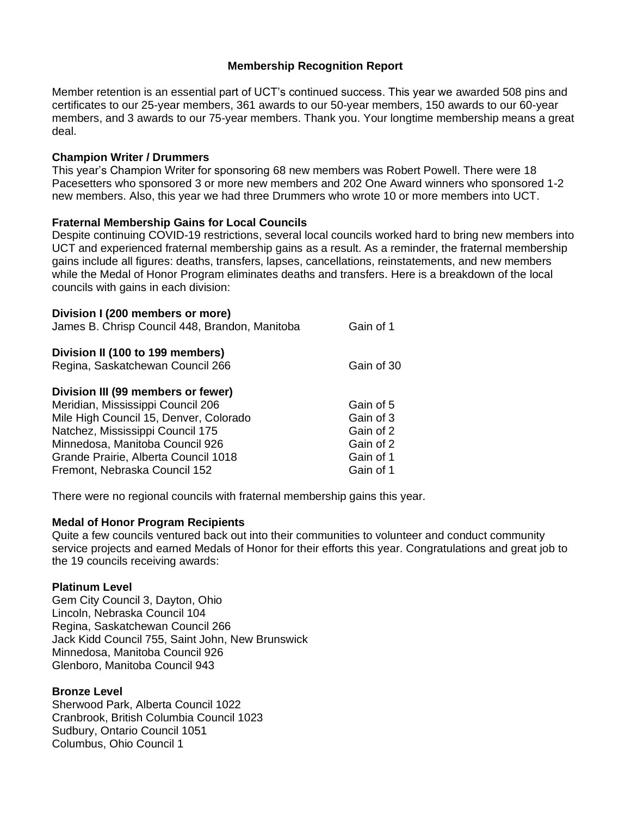# **Membership Recognition Report**

Member retention is an essential part of UCT's continued success. This year we awarded 508 pins and certificates to our 25-year members, 361 awards to our 50-year members, 150 awards to our 60-year members, and 3 awards to our 75-year members. Thank you. Your longtime membership means a great deal.

#### **Champion Writer / Drummers**

This year's Champion Writer for sponsoring 68 new members was Robert Powell. There were 18 Pacesetters who sponsored 3 or more new members and 202 One Award winners who sponsored 1-2 new members. Also, this year we had three Drummers who wrote 10 or more members into UCT.

### **Fraternal Membership Gains for Local Councils**

Despite continuing COVID-19 restrictions, several local councils worked hard to bring new members into UCT and experienced fraternal membership gains as a result. As a reminder, the fraternal membership gains include all figures: deaths, transfers, lapses, cancellations, reinstatements, and new members while the Medal of Honor Program eliminates deaths and transfers. Here is a breakdown of the local councils with gains in each division:

| Division I (200 members or more)<br>James B. Chrisp Council 448, Brandon, Manitoba                                                                                                                                                                                | Gain of 1                                                                  |
|-------------------------------------------------------------------------------------------------------------------------------------------------------------------------------------------------------------------------------------------------------------------|----------------------------------------------------------------------------|
| Division II (100 to 199 members)<br>Regina, Saskatchewan Council 266                                                                                                                                                                                              | Gain of 30                                                                 |
| Division III (99 members or fewer)<br>Meridian, Mississippi Council 206<br>Mile High Council 15, Denver, Colorado<br>Natchez, Mississippi Council 175<br>Minnedosa, Manitoba Council 926<br>Grande Prairie, Alberta Council 1018<br>Fremont, Nebraska Council 152 | Gain of 5<br>Gain of 3<br>Gain of 2<br>Gain of 2<br>Gain of 1<br>Gain of 1 |

There were no regional councils with fraternal membership gains this year.

#### **Medal of Honor Program Recipients**

Quite a few councils ventured back out into their communities to volunteer and conduct community service projects and earned Medals of Honor for their efforts this year. Congratulations and great job to the 19 councils receiving awards:

#### **Platinum Level**

Gem City Council 3, Dayton, Ohio Lincoln, Nebraska Council 104 Regina, Saskatchewan Council 266 Jack Kidd Council 755, Saint John, New Brunswick Minnedosa, Manitoba Council 926 Glenboro, Manitoba Council 943

# **Bronze Level**

Sherwood Park, Alberta Council 1022 Cranbrook, British Columbia Council 1023 Sudbury, Ontario Council 1051 Columbus, Ohio Council 1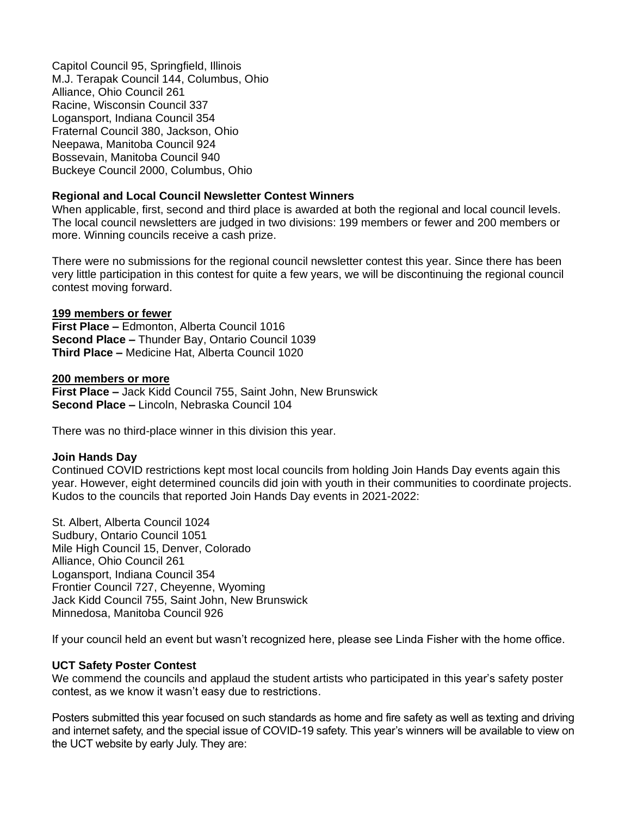Capitol Council 95, Springfield, Illinois M.J. Terapak Council 144, Columbus, Ohio Alliance, Ohio Council 261 Racine, Wisconsin Council 337 Logansport, Indiana Council 354 Fraternal Council 380, Jackson, Ohio Neepawa, Manitoba Council 924 Bossevain, Manitoba Council 940 Buckeye Council 2000, Columbus, Ohio

#### **Regional and Local Council Newsletter Contest Winners**

When applicable, first, second and third place is awarded at both the regional and local council levels. The local council newsletters are judged in two divisions: 199 members or fewer and 200 members or more. Winning councils receive a cash prize.

There were no submissions for the regional council newsletter contest this year. Since there has been very little participation in this contest for quite a few years, we will be discontinuing the regional council contest moving forward.

#### **199 members or fewer**

**First Place –** Edmonton, Alberta Council 1016 **Second Place –** Thunder Bay, Ontario Council 1039 **Third Place –** Medicine Hat, Alberta Council 1020

#### **200 members or more**

**First Place –** Jack Kidd Council 755, Saint John, New Brunswick **Second Place –** Lincoln, Nebraska Council 104

There was no third-place winner in this division this year.

#### **Join Hands Day**

Continued COVID restrictions kept most local councils from holding Join Hands Day events again this year. However, eight determined councils did join with youth in their communities to coordinate projects. Kudos to the councils that reported Join Hands Day events in 2021-2022:

St. Albert, Alberta Council 1024 Sudbury, Ontario Council 1051 Mile High Council 15, Denver, Colorado Alliance, Ohio Council 261 Logansport, Indiana Council 354 Frontier Council 727, Cheyenne, Wyoming Jack Kidd Council 755, Saint John, New Brunswick Minnedosa, Manitoba Council 926

If your council held an event but wasn't recognized here, please see Linda Fisher with the home office.

#### **UCT Safety Poster Contest**

We commend the councils and applaud the student artists who participated in this year's safety poster contest, as we know it wasn't easy due to restrictions.

Posters submitted this year focused on such standards as home and fire safety as well as texting and driving and internet safety, and the special issue of COVID-19 safety. This year's winners will be available to view on the UCT website by early July. They are: